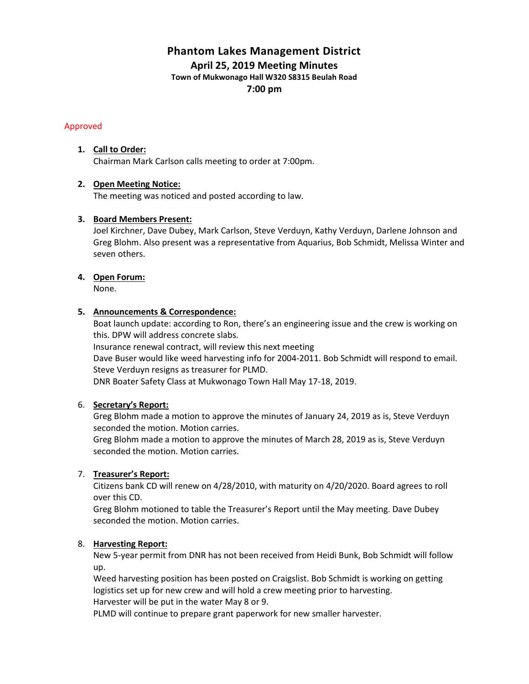# **Phantom Lakes Management District April 25, 2019 Meeting Minutes**

**Town of Mukwonago Hall W320 S8315 Beulah Road**

**7:00 pm**

# Approved

# **1. Call to Order:**

Chairman Mark Carlson calls meeting to order at 7:00pm.

# **2. Open Meeting Notice:**

The meeting was noticed and posted according to law.

# **3. Board Members Present:**

Joel Kirchner, Dave Dubey, Mark Carlson, Steve Verduyn, Kathy Verduyn, Darlene Johnson and Greg Blohm. Also present was a representative from Aquarius, Bob Schmidt, Melissa Winter and seven others.

# **4. Open Forum:**

None.

# **5. Announcements & Correspondence:**

Boat launch update: according to Ron, there's an engineering issue and the crew is working on this. DPW will address concrete slabs.

Insurance renewal contract, will review this next meeting

Dave Buser would like weed harvesting info for 2004-2011. Bob Schmidt will respond to email. Steve Verduyn resigns as treasurer for PLMD.

DNR Boater Safety Class at Mukwonago Town Hall May 17-18, 2019.

# 6. **Secretary's Report:**

Greg Blohm made a motion to approve the minutes of January 24, 2019 as is, Steve Verduyn seconded the motion. Motion carries.

Greg Blohm made a motion to approve the minutes of March 28, 2019 as is, Steve Verduyn seconded the motion. Motion carries.

# 7. **Treasurer's Report:**

Citizens bank CD will renew on 4/28/2010, with maturity on 4/20/2020. Board agrees to roll over this CD.

Greg Blohm motioned to table the Treasurer's Report until the May meeting. Dave Dubey seconded the motion. Motion carries.

# 8. **Harvesting Report:**

New 5-year permit from DNR has not been received from Heidi Bunk, Bob Schmidt will follow up.

Weed harvesting position has been posted on Craigslist. Bob Schmidt is working on getting logistics set up for new crew and will hold a crew meeting prior to harvesting. Harvester will be put in the water May 8 or 9.

PLMD will continue to prepare grant paperwork for new smaller harvester.